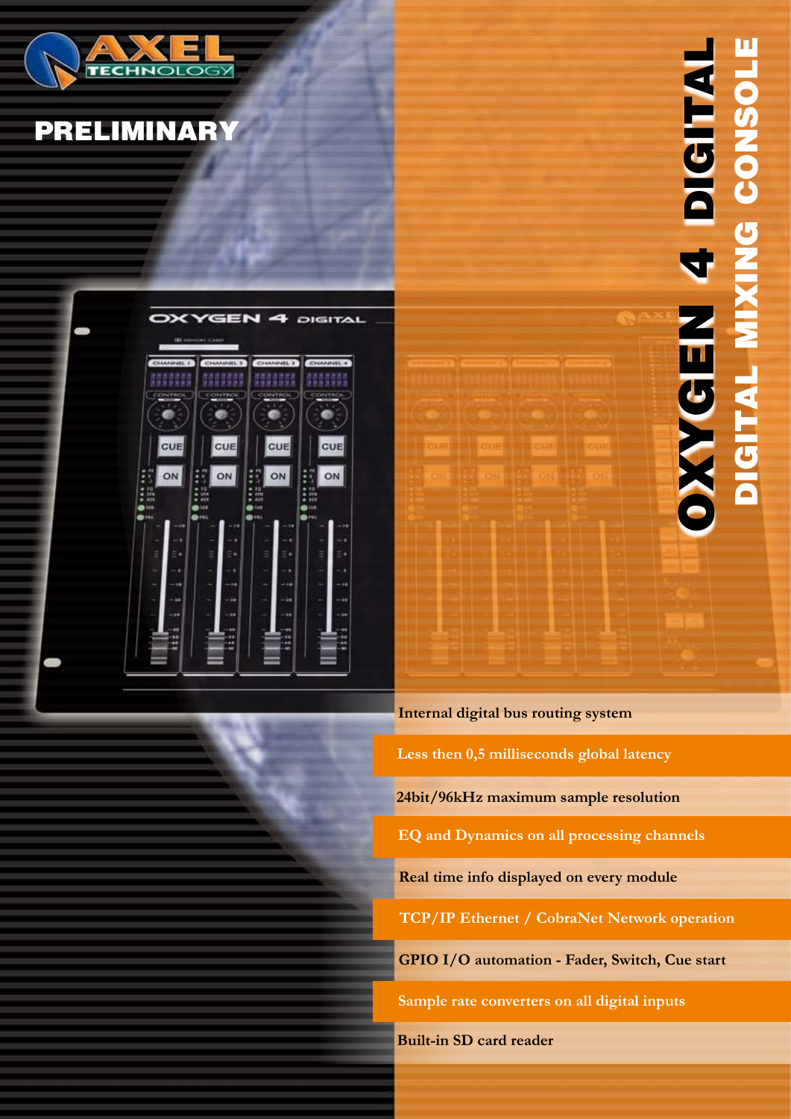

## **PRELIMINARY**





**Internal digital bus routing system Real time info displayed on every module TCP/IP Ethernet / CobraNet Network operation Sample rate converters on all digital inputs GPIO I/O automation - Fader, Switch, Cue start EQ and Dynamics on all processing channels 24bit/96kHz maximum sample resolution Less then 0,5 milliseconds global latency**

**Built-in SD card reader**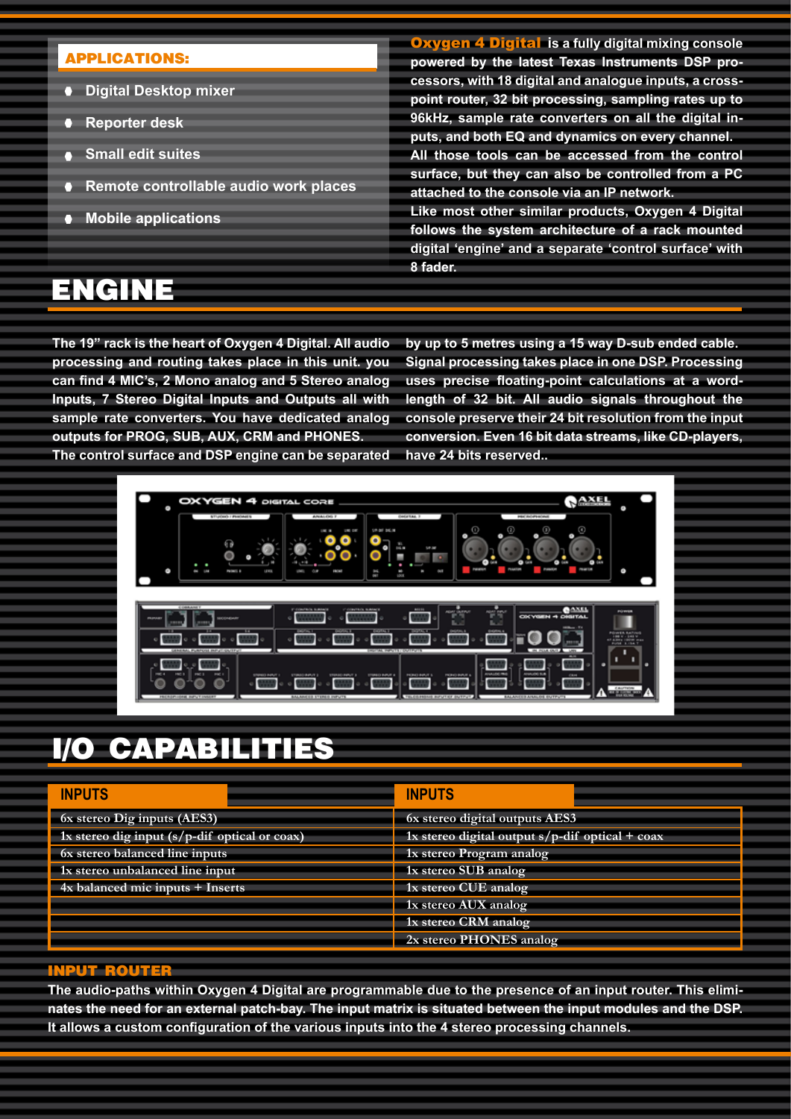### **APPLICATIONS:**

- **Digital Desktop mixer**
- **Reporter desk**
- **Small edit suites**
- **Remote controllable audio work places**
- **Mobile applications**

**ENGINE**

Oxygen 4 Digital **is a fully digital mixing console powered by the latest Texas Instruments DSP processors, with 18 digital and analogue inputs, a crosspoint router, 32 bit processing, sampling rates up to 96kHz, sample rate converters on all the digital inputs, and both EQ and dynamics on every channel. All those tools can be accessed from the control surface, but they can also be controlled from a PC attached to the console via an IP network. Like most other similar products, Oxygen 4 Digital** 

**follows the system architecture of a rack mounted digital 'engine' and a separate 'control surface' with 8 fader.**

**The 19" rack is the heart of Oxygen 4 Digital. All audio processing and routing takes place in this unit. you can find 4 MIC's, 2 Mono analog and 5 Stereo analog Inputs, 7 Stereo Digital Inputs and Outputs all with sample rate converters. You have dedicated analog outputs for PROG, SUB, AUX, CRM and PHONES.**

**by up to 5 metres using a 15 way D-sub ended cable. Signal processing takes place in one DSP. Processing uses precise floating-point calculations at a wordlength of 32 bit. All audio signals throughout the console preserve their 24 bit resolution from the input conversion. Even 16 bit data streams, like CD-players, have 24 bits reserved..**

**The control surface and DSP engine can be separated** 



### **I/O CAPABILITIES**

| <b>INPUTS</b>                                 | <b>INPUTS</b>                                   |
|-----------------------------------------------|-------------------------------------------------|
| 6x stereo Dig inputs (AES3)                   | 6x stereo digital outputs AES3                  |
| 1x stereo dig input (s/p-dif optical or coax) | 1x stereo digital output s/p-dif optical + coax |
| 6x stereo balanced line inputs                | 1x stereo Program analog                        |
| 1x stereo unbalanced line input               | 1x stereo SUB analog                            |
| 4x balanced mic inputs + Inserts              | 1x stereo CUE analog                            |
|                                               | 1x stereo AUX analog                            |
|                                               | 1x stereo CRM analog                            |
|                                               | 2x stereo PHONES analog                         |

#### **INPUT ROUTE**

**The audio-paths within Oxygen 4 Digital are programmable due to the presence of an input router. This eliminates the need for an external patch-bay. The input matrix is situated between the input modules and the DSP. It allows a custom configuration of the various inputs into the 4 stereo processing channels.**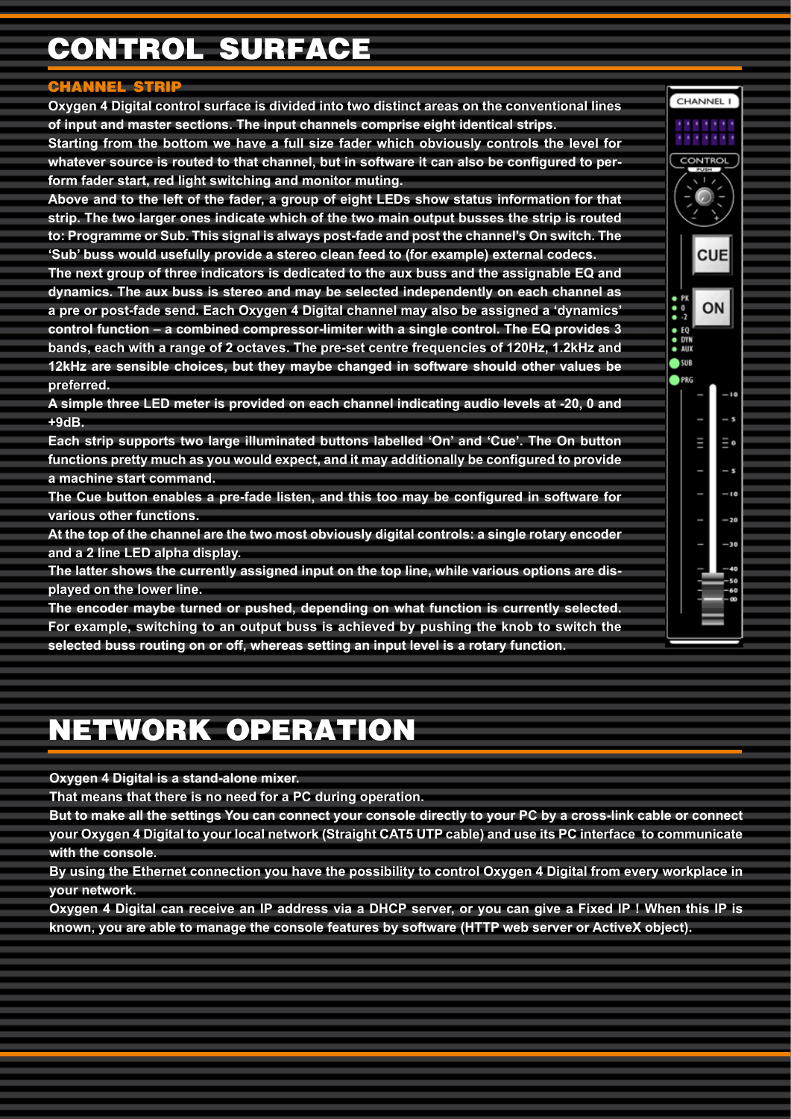# **CONTROL SURFACE**

### **CHANNEL STRIP**

**Oxygen 4 Digital control surface is divided into two distinct areas on the conventional lines of input and master sections. The input channels comprise eight identical strips.** 

**Starting from the bottom we have a full size fader which obviously controls the level for whatever source is routed to that channel, but in software it can also be configured to perform fader start, red light switching and monitor muting.** 

**Above and to the left of the fader, a group of eight LEDs show status information for that strip. The two larger ones indicate which of the two main output busses the strip is routed to: Programme or Sub. This signal is always post-fade and post the channel's On switch. The 'Sub' buss would usefully provide a stereo clean feed to (for example) external codecs.**

**The next group of three indicators is dedicated to the aux buss and the assignable EQ and dynamics. The aux buss is stereo and may be selected independently on each channel as a pre or post-fade send. Each Oxygen 4 Digital channel may also be assigned a 'dynamics' control function – a combined compressor-limiter with a single control. The EQ provides 3 bands, each with a range of 2 octaves. The pre-set centre frequencies of 120Hz, 1.2kHz and 12kHz are sensible choices, but they maybe changed in software should other values be preferred.** 

**A simple three LED meter is provided on each channel indicating audio levels at -20, 0 and +9dB.**

**Each strip supports two large illuminated buttons labelled 'On' and 'Cue'. The On button functions pretty much as you would expect, and it may additionally be configured to provide a machine start command.** 

**The Cue button enables a pre-fade listen, and this too may be configured in software for various other functions.**

**At the top of the channel are the two most obviously digital controls: a single rotary encoder and a 2 line LED alpha display.** 

**The latter shows the currently assigned input on the top line, while various options are displayed on the lower line.**

**The encoder maybe turned or pushed, depending on what function is currently selected. For example, switching to an output buss is achieved by pushing the knob to switch the selected buss routing on or off, whereas setting an input level is a rotary function.**

## **NETWORK OPERATION**

**Oxygen 4 Digital is a stand-alone mixer.** 

**That means that there is no need for a PC during operation.** 

**But to make all the settings You can connect your console directly to your PC by a cross-link cable or connect your Oxygen 4 Digital to your local network (Straight CAT5 UTP cable) and use its PC interface to communicate with the console.**

**By using the Ethernet connection you have the possibility to control Oxygen 4 Digital from every workplace in your network.** 

**Oxygen 4 Digital can receive an IP address via a DHCP server, or you can give a Fixed IP ! When this IP is known, you are able to manage the console features by software (HTTP web server or ActiveX object).**